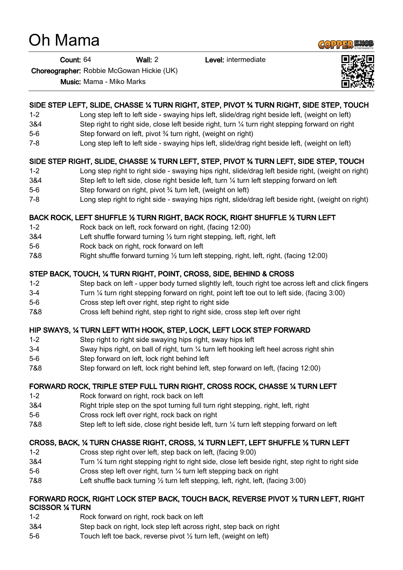# Oh Mama

Count: 64 Wall: 2 Level: intermediate

Choreographer: Robbie McGowan Hickie (UK)

Music: Mama - Miko Marks

## SIDE STEP LEFT, SLIDE, CHASSE ¼ TURN RIGHT, STEP, PIVOT ¾ TURN RIGHT, SIDE STEP, TOUCH

- 1-2 Long step left to left side swaying hips left, slide/drag right beside left, (weight on left)
- 3&4 Step right to right side, close left beside right, turn ¼ turn right stepping forward on right
- 5-6 Step forward on left, pivot ¾ turn right, (weight on right)
- 7-8 Long step left to left side swaying hips left, slide/drag right beside left, (weight on left)

#### SIDE STEP RIGHT, SLIDE, CHASSE ¼ TURN LEFT, STEP, PIVOT ¾ TURN LEFT, SIDE STEP, TOUCH

- 1-2 Long step right to right side swaying hips right, slide/drag left beside right, (weight on right)
- 3&4 Step left to left side, close right beside left, turn ¼ turn left stepping forward on left
- 5-6 Step forward on right, pivot ¾ turn left, (weight on left)
- 7-8 Long step right to right side swaying hips right, slide/drag left beside right, (weight on right)

#### BACK ROCK, LEFT SHUFFLE ½ TURN RIGHT, BACK ROCK, RIGHT SHUFFLE ½ TURN LEFT

- 1-2 Rock back on left, rock forward on right, (facing 12:00)
- 3&4 Left shuffle forward turning ½ turn right stepping, left, right, left
- 5-6 Rock back on right, rock forward on left
- 7&8 Right shuffle forward turning ½ turn left stepping, right, left, right, (facing 12:00)

#### STEP BACK, TOUCH, ¼ TURN RIGHT, POINT, CROSS, SIDE, BEHIND & CROSS

- 1-2 Step back on left upper body turned slightly left, touch right toe across left and click fingers
- 3-4 Turn ¼ turn right stepping forward on right, point left toe out to left side, (facing 3:00)
- 5-6 Cross step left over right, step right to right side
- 7&8 Cross left behind right, step right to right side, cross step left over right

#### HIP SWAYS, ¼ TURN LEFT WITH HOOK, STEP, LOCK, LEFT LOCK STEP FORWARD

- 1-2 Step right to right side swaying hips right, sway hips left
- 3-4 Sway hips right, on ball of right, turn ¼ turn left hooking left heel across right shin
- 5-6 Step forward on left, lock right behind left
- 7&8 Step forward on left, lock right behind left, step forward on left, (facing 12:00)

### FORWARD ROCK, TRIPLE STEP FULL TURN RIGHT, CROSS ROCK, CHASSE ¼ TURN LEFT

- 1-2 Rock forward on right, rock back on left
- 3&4 Right triple step on the spot turning full turn right stepping, right, left, right
- 5-6 Cross rock left over right, rock back on right
- 7&8 Step left to left side, close right beside left, turn 1/4 turn left stepping forward on left

#### CROSS, BACK, ¼ TURN CHASSE RIGHT, CROSS, ¼ TURN LEFT, LEFT SHUFFLE ½ TURN LEFT

- 1-2 Cross step right over left, step back on left, (facing 9:00)
- 3&4 Turn ¼ turn right stepping right to right side, close left beside right, step right to right side
- 5-6 Cross step left over right, turn ¼ turn left stepping back on right
- 7&8 Left shuffle back turning ½ turn left stepping, left, right, left, (facing 3:00)

#### FORWARD ROCK, RIGHT LOCK STEP BACK, TOUCH BACK, REVERSE PIVOT ½ TURN LEFT, RIGHT SCISSOR ¼ TURN

- 1-2 Rock forward on right, rock back on left
- 3&4 Step back on right, lock step left across right, step back on right
- 5-6 Touch left toe back, reverse pivot ½ turn left, (weight on left)